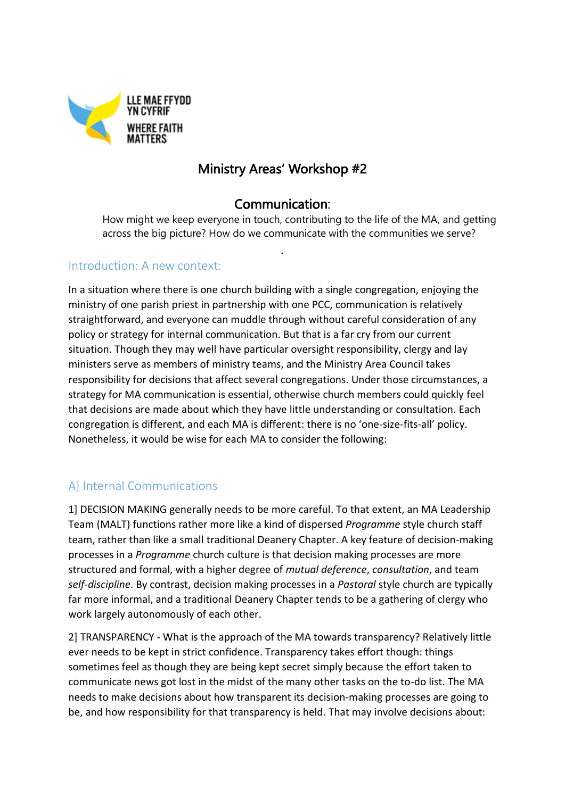

# Ministry Areas' Workshop #2

# Communication:

.

How might we keep everyone in touch, contributing to the life of the MA, and getting across the big picture? How do we communicate with the communities we serve?

#### Introduction: A new context:

In a situation where there is one church building with a single congregation, enjoying the ministry of one parish priest in partnership with one PCC, communication is relatively straightforward, and everyone can muddle through without careful consideration of any policy or strategy for internal communication. But that is a far cry from our current situation. Though they may well have particular oversight responsibility, clergy and lay ministers serve as members of ministry teams, and the Ministry Area Council takes responsibility for decisions that affect several congregations. Under those circumstances, a strategy for MA communication is essential, otherwise church members could quickly feel that decisions are made about which they have little understanding or consultation. Each congregation is different, and each MA is different: there is no 'one-size-fits-all' policy. Nonetheless, it would be wise for each MA to consider the following:

# A] Internal Communications

1] DECISION MAKING generally needs to be more careful. To that extent, an MA Leadership Team (MALT) functions rather more like a kind of dispersed *Programme* style church staff team, rather than like a small traditional Deanery Chapter. A key feature of decision-making processes in a *Programme* church culture is that decision making processes are more structured and formal, with a higher degree of *mutual deference*, *consultation*, and team *self-discipline*. By contrast, decision making processes in a *Pastoral* style church are typically far more informal, and a traditional Deanery Chapter tends to be a gathering of clergy who work largely autonomously of each other.

2] TRANSPARENCY - What is the approach of the MA towards transparency? Relatively little ever needs to be kept in strict confidence. Transparency takes effort though: things sometimes feel as though they are being kept secret simply because the effort taken to communicate news got lost in the midst of the many other tasks on the to-do list. The MA needs to make decisions about how transparent its decision-making processes are going to be, and how responsibility for that transparency is held. That may involve decisions about: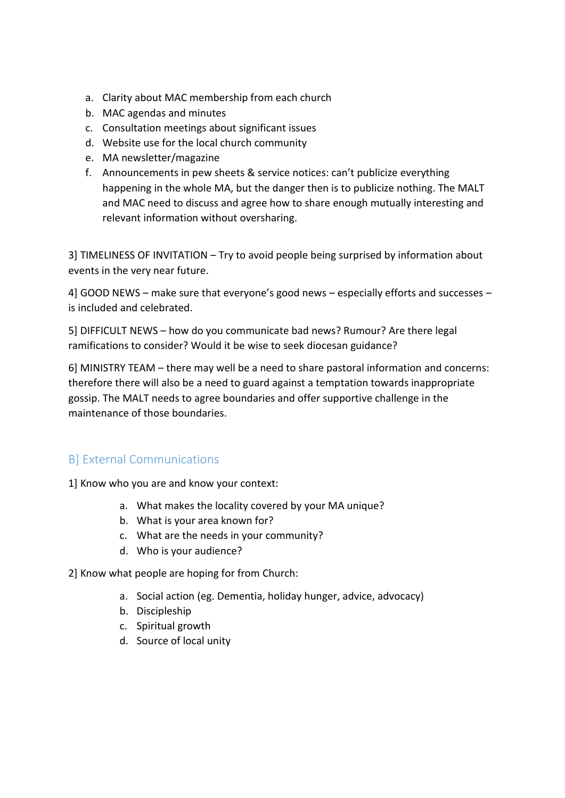- a. Clarity about MAC membership from each church
- b. MAC agendas and minutes
- c. Consultation meetings about significant issues
- d. Website use for the local church community
- e. MA newsletter/magazine
- f. Announcements in pew sheets & service notices: can't publicize everything happening in the whole MA, but the danger then is to publicize nothing. The MALT and MAC need to discuss and agree how to share enough mutually interesting and relevant information without oversharing.

3] TIMELINESS OF INVITATION – Try to avoid people being surprised by information about events in the very near future.

4] GOOD NEWS – make sure that everyone's good news – especially efforts and successes – is included and celebrated.

5] DIFFICULT NEWS – how do you communicate bad news? Rumour? Are there legal ramifications to consider? Would it be wise to seek diocesan guidance?

6] MINISTRY TEAM – there may well be a need to share pastoral information and concerns: therefore there will also be a need to guard against a temptation towards inappropriate gossip. The MALT needs to agree boundaries and offer supportive challenge in the maintenance of those boundaries.

# B] External Communications

1] Know who you are and know your context:

- a. What makes the locality covered by your MA unique?
- b. What is your area known for?
- c. What are the needs in your community?
- d. Who is your audience?

2] Know what people are hoping for from Church:

- a. Social action (eg. Dementia, holiday hunger, advice, advocacy)
- b. Discipleship
- c. Spiritual growth
- d. Source of local unity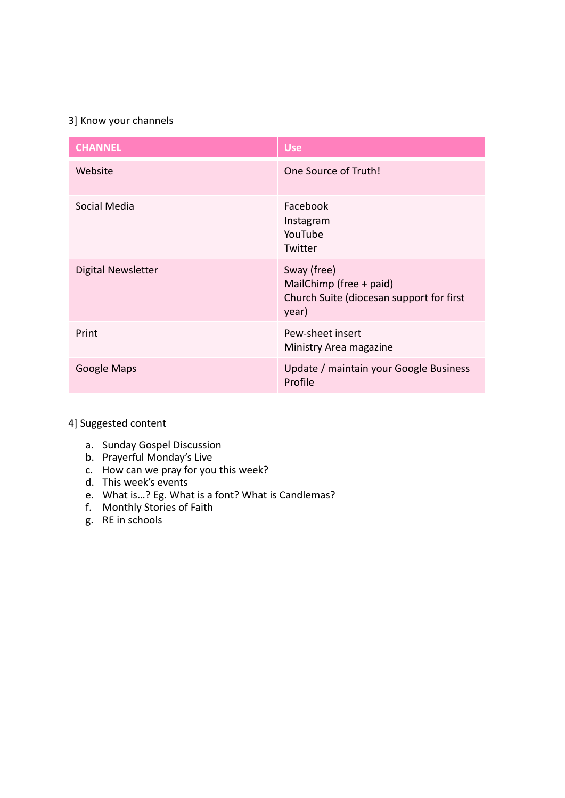#### 3] Know your channels

| <b>CHANNEL</b>     | <b>Use</b>                                                                                  |
|--------------------|---------------------------------------------------------------------------------------------|
| Website            | One Source of Truth!                                                                        |
| Social Media       | Facebook<br>Instagram<br>YouTube<br>Twitter                                                 |
| Digital Newsletter | Sway (free)<br>MailChimp (free + paid)<br>Church Suite (diocesan support for first<br>year) |
| Print              | Pew-sheet insert<br>Ministry Area magazine                                                  |
| Google Maps        | Update / maintain your Google Business<br>Profile                                           |

4] Suggested content

- a. Sunday Gospel Discussion
- b. Prayerful Monday's Live
- c. How can we pray for you this week?
- d. This week's events
- e. What is…? Eg. What is a font? What is Candlemas?
- f. Monthly Stories of Faith
- g. RE in schools